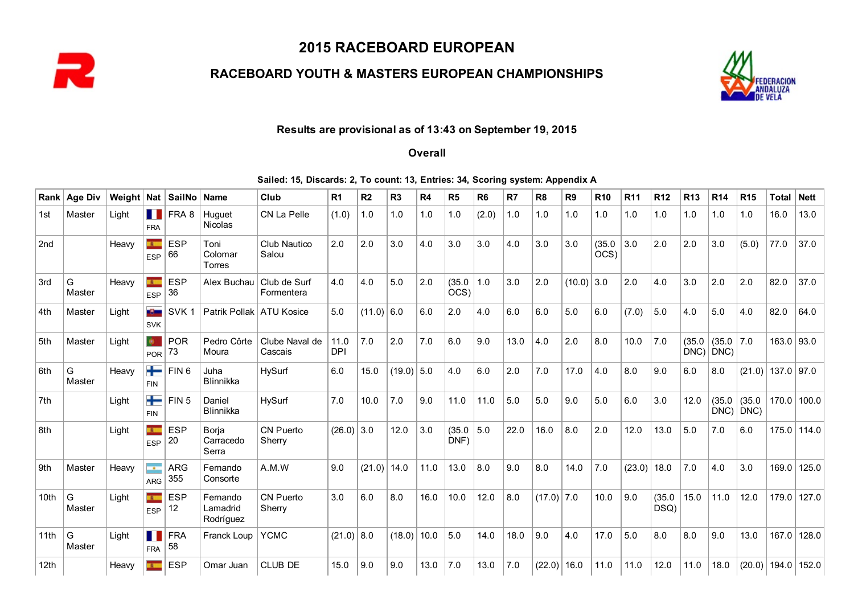# 2015 RACEBOARD EUROPEAN



## RACEBOARD YOUTH & MASTERS EUROPEAN CHAMPIONSHIPS



### Results are provisional as of 13:43 on September 19, 2015

### **Overall**

Sailed: 15, Discards: 2, To count: 13, Entries: 34, Scoring system: Appendix A

|                  | Rank Age Div |       |                              | Weight   Nat   SailNo | <b>Name</b>                        | Club                       | R <sub>1</sub>     | R <sub>2</sub> | R <sub>3</sub> | <b>R4</b> | R <sub>5</sub>             | R <sub>6</sub> | R7   | R <sub>8</sub> | R <sub>9</sub> | <b>R10</b>     | R <sub>11</sub> | R <sub>12</sub> | <b>R13</b>     | <b>R14</b>     | <b>R15</b>     | Total | <b>Nett</b> |
|------------------|--------------|-------|------------------------------|-----------------------|------------------------------------|----------------------------|--------------------|----------------|----------------|-----------|----------------------------|----------------|------|----------------|----------------|----------------|-----------------|-----------------|----------------|----------------|----------------|-------|-------------|
| 1st              | Master       | Light | Ш<br><b>FRA</b>              | FRA 8                 | Huguet<br><b>Nicolas</b>           | CN La Pelle                | (1.0)              | 1.0            | 1.0            | 1.0       | 1.0                        | (2.0)          | 1.0  | 1.0            | 1.0            | 1.0            | 1.0             | 1.0             | 1.0            | 1.0            | 1.0            | 16.0  | 13.0        |
| 2nd              |              | Heavy | $\overline{1}$<br><b>ESP</b> | <b>ESP</b><br>66      | Toni<br>Colomar<br>Torres          | Club Nautico<br>Salou      | 2.0                | 2.0            | 3.0            | 4.0       | 3.0                        | 3.0            | 4.0  | 3.0            | 3.0            | (35.0)<br>OCS) | 3.0             | 2.0             | 2.0            | 3.0            | (5.0)          | 77.0  | 37.0        |
| 3rd              | G<br>Master  | Heavv | $\overline{1}$<br><b>ESP</b> | <b>ESP</b><br>36      | Alex Buchau                        | Club de Surf<br>Formentera | 4.0                | 4.0            | 5.0            | 2.0       | (35.0)<br>$\overline{OCS}$ | 1.0            | 3.0  | 2.0            | (10.0)         | 3.0            | 2.0             | 4.0             | 3.0            | 2.0            | 2.0            | 82.0  | 37.0        |
| 4th              | Master       | Light | <b>BO</b><br><b>SVK</b>      | <b>SVK</b>            |                                    | Patrik Pollak   ATU Kosice | 5.0                | $(11.0)$ 6.0   |                | 6.0       | 2.0                        | 4.0            | 6.0  | 6.0            | 5.0            | 6.0            | (7.0)           | 5.0             | 4.0            | 5.0            | 4.0            | 82.0  | 64.0        |
| 5th              | Master       | Light | <b>POR</b>                   | <b>POR</b><br>73      | Pedro Côrte<br>Moura               | Clube Naval de<br>Cascais  | 11.0<br><b>DPI</b> | 7.0            | 2.0            | 7.0       | 6.0                        | 9.0            | 13.0 | 4.0            | 2.0            | 8.0            | 10.0            | 7.0             | (35.0)<br>DNC) | (35.0)<br>DNC) | 7.0            | 163.0 | 93.0        |
| ∣6th             | G<br>Master  | Heavy | ┿<br><b>FIN</b>              | FIN <sub>6</sub>      | Juha<br><b>Blinnikka</b>           | HySurf                     | 6.0                | 15.0           | $(19.0)$ 5.0   |           | 4.0                        | 6.0            | 2.0  | 7.0            | 17.0           | 4.0            | 8.0             | 9.0             | 6.0            | 8.0            | (21.0)         | 137.0 | 97.0        |
| 7th              |              | Light | ┿<br><b>FIN</b>              | FIN <sub>5</sub>      | Daniel<br><b>Blinnikka</b>         | HySurf                     | 7.0                | 10.0           | 7.0            | 9.0       | 11.0                       | 11.0           | 5.0  | 5.0            | 9.0            | 5.0            | 6.0             | 3.0             | 12.0           | (35.0)<br>DNC) | (35.0)<br>DNC) | 170.0 | 100.0       |
| 8th              |              | Light | $\overline{A}$<br><b>ESP</b> | <b>ESP</b><br>20      | <b>Boria</b><br>Carracedo<br>Serra | CN Puerto<br>Sherry        | (26.0)             | 3.0            | 12.0           | 3.0       | (35.0)<br>DNF)             | 5.0            | 22.0 | 16.0           | 8.0            | 2.0            | 12.0            | 13.0            | 5.0            | 7.0            | 6.0            | 175.0 | 114.0       |
| 9th              | Master       | Heavy | $\bullet$<br><b>ARG</b>      | <b>ARG</b><br>355     | Fernando<br>Consorte               | A.M.W                      | 9.0                | (21.0)         | 14.0           | 11.0      | 13.0                       | 8.0            | 9.0  | 8.0            | 14.0           | 7.0            | (23.0)          | 18.0            | 7.0            | 4.0            | 3.0            | 169.0 | 125.0       |
| 10 <sub>th</sub> | G<br>Master  | Light | $\overline{A}$<br><b>ESP</b> | <b>ESP</b><br>12      | Fernando<br>Lamadrid<br>Rodríguez  | CN Puerto<br>Sherry        | 3.0                | 6.0            | 8.0            | 16.0      | 10.0                       | 12.0           | 8.0  | $(17.0)$ 7.0   |                | 10.0           | 9.0             | (35.0)<br>DSQ)  | 15.0           | 11.0           | 12.0           | 179.0 | 127.0       |
| 11th             | G<br>Master  | Light | П<br><b>FRA</b>              | <b>FRA</b><br>58      | Franck Loup                        | <b>YCMC</b>                | (21.0)             | 8.0            | (18.0)         | 10.0      | 5.0                        | 14.0           | 18.0 | 9.0            | 4.0            | 17.0           | 5.0             | 8.0             | 8.0            | 9.0            | 13.0           | 167.0 | 128.0       |
| 12th             |              | Heavy | $\overline{A}$               | <b>ESP</b>            | Omar Juan                          | <b>CLUB DE</b>             | 15.0               | 9.0            | 9.0            | 13.0      | 7.0                        | 13.0           | 7.0  | $(22.0)$ 16.0  |                | 11.0           | 11.0            | 12.0            | 11.0           | 18.0           | (20.0)         | 194.0 | 152.0       |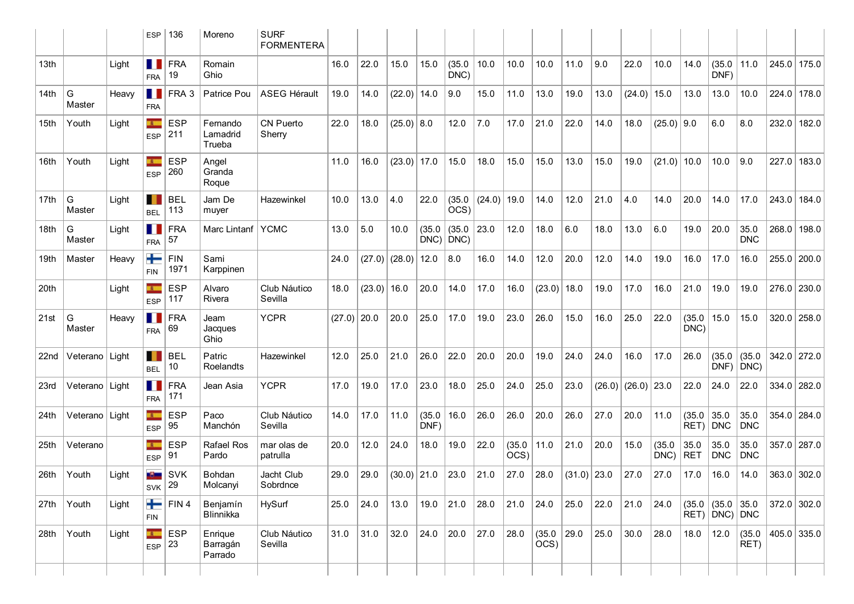|      |                  |       | <b>ESP</b>                   | 136                | Moreno                         | <b>SURF</b><br><b>FORMENTERA</b> |               |               |               |                |                |        |               |                |      |               |        |                |                    |                                 |                    |       |             |
|------|------------------|-------|------------------------------|--------------------|--------------------------------|----------------------------------|---------------|---------------|---------------|----------------|----------------|--------|---------------|----------------|------|---------------|--------|----------------|--------------------|---------------------------------|--------------------|-------|-------------|
| 13th |                  | Light | Ш<br><b>FRA</b>              | <b>FRA</b><br>19   | Romain<br>Ghio                 |                                  | 16.0          | 22.0          | 15.0          | 15.0           | (35.0)<br>DNC) | 10.0   | 10.0          | 10.0           | 11.0 | 9.0           | 22.0   | 10.0           | 14.0               | (35.0)<br>DNF)                  | 11.0               | 245.0 | 175.0       |
| 14th | G<br>Master      | Heavy | Ш<br><b>FRA</b>              | FRA 3              | Patrice Pou                    | <b>ASEG Hérault</b>              | 19.0          | 14.0          | (22.0)        | 14.0           | 9.0            | 15.0   | 11.0          | 13.0           | 19.0 | 13.0          | (24.0) | 15.0           | 13.0               | 13.0                            | 10.0               | 224.0 | 178.0       |
| 15th | Youth            | Light | $\overline{A}$<br><b>ESP</b> | <b>ESP</b><br>211  | Fernando<br>Lamadrid<br>Trueba | <b>CN Puerto</b><br>Sherry       | 22.0          | 18.0          | $(25.0)$ 8.0  |                | 12.0           | 7.0    | 17.0          | 21.0           | 22.0 | 14.0          | 18.0   | $(25.0)$ 9.0   |                    | 6.0                             | 8.0                | 232.0 | 182.0       |
| 16th | Youth            | Light | <b>A</b><br><b>ESP</b>       | <b>ESP</b><br>260  | Angel<br>Granda<br>Roque       |                                  | 11.0          | 16.0          | (23.0)        | 17.0           | 15.0           | 18.0   | 15.0          | 15.0           | 13.0 | 15.0          | 19.0   | (21.0)         | 10.0               | 10.0                            | 9.0                | 227.0 | 183.0       |
| 17th | G<br>Master      | Light | П<br><b>BEL</b>              | <b>BEL</b><br>113  | Jam De<br>muyer                | Hazewinkel                       | 10.0          | 13.0          | 4.0           | 22.0           | (35.0)<br>OCS) | (24.0) | 19.0          | 14.0           | 12.0 | 21.0          | 4.0    | 14.0           | 20.0               | 14.0                            | 17.0               | 243.0 | 184.0       |
| 18th | G<br>Master      | Light | Ш<br><b>FRA</b>              | <b>FRA</b><br>57   | Marc Lintanf                   | <b>YCMC</b>                      | 13.0          | 5.0           | 10.0          | (35.0)<br>DNC) | (35.0)<br>DNC) | 23.0   | 12.0          | 18.0           | 6.0  | 18.0          | 13.0   | 6.0            | 19.0               | 20.0                            | 35.0<br><b>DNC</b> | 268.0 | 198.0       |
| 19th | Master           | Heavy | ┿<br><b>FIN</b>              | <b>FIN</b><br>1971 | Sami<br>Karppinen              |                                  | 24.0          | (27.0)        | (28.0)        | 12.0           | 8.0            | 16.0   | 14.0          | 12.0           | 20.0 | 12.0          | 14.0   | 19.0           | 16.0               | 17.0                            | 16.0               | 255.0 | 200.0       |
| 20th |                  | Light | A.<br><b>ESP</b>             | <b>ESP</b><br>117  | Alvaro<br>Rivera               | Club Náutico<br>Sevilla          | 18.0          | $(23.0)$ 16.0 |               | 20.0           | 14.0           | 17.0   | 16.0          | $(23.0)$ 18.0  |      | 19.0          | 17.0   | 16.0           | 21.0               | 19.0                            | 19.0               | 276.0 | 230.0       |
| 21st | G<br>Master      | Heavy | . .<br><b>FRA</b>            | <b>FRA</b><br>69   | Jeam<br>Jacques<br>Ghio        | <b>YCPR</b>                      | $(27.0)$ 20.0 |               | 20.0          | 25.0           | 17.0           | 19.0   | 23.0          | 26.0           | 15.0 | 16.0          | 25.0   | 22.0           | (35.0)<br>DNC)     | 15.0                            | 15.0               | 320.0 | 258.0       |
| 22nd | Veterano         | Light | Ш<br><b>BEL</b>              | <b>BEL</b><br>10   | Patric<br>Roelandts            | Hazewinkel                       | 12.0          | 25.0          | 21.0          | 26.0           | 22.0           | 20.0   | 20.0          | 19.0           | 24.0 | 24.0          | 16.0   | 17.0           | 26.0               | (35.0)<br>DNF)                  | (35.0)<br>DNC)     | 342.0 | 272.0       |
| 23rd | Veterano         | Light | Ш<br><b>FRA</b>              | <b>FRA</b><br>171  | Jean Asia                      | <b>YCPR</b>                      | 17.0          | 19.0          | 17.0          | 23.0           | 18.0           | 25.0   | 24.0          | 25.0           | 23.0 | (26.0)        | (26.0) | 23.0           | 22.0               | 24.0                            | 22.0               | 334.0 | 282.0       |
| 24th | Veterano   Light |       | $\overline{A}$<br><b>ESP</b> | <b>ESP</b><br>95   | Paco<br>Manchón                | Club Náutico<br>Sevilla          | 14.0          | 17.0          | 11.0          | (35.0)<br>DNF) | 16.0           | 26.0   | 26.0          | 20.0           | 26.0 | 27.0          | 20.0   | 11.0           | (35.0)<br>RET)     | 35.0<br><b>DNC</b>              | 35.0<br><b>DNC</b> | 354.0 | 284.0       |
| 25th | Veterano         |       | $\overline{a}$<br><b>ESP</b> | <b>ESP</b><br>91   | Rafael Ros<br>Pardo            | mar olas de<br>patrulla          | 20.0          | 12.0          | 24.0          | 18.0           | 19.0           | 22.0   | (35.0)<br>OCS | 11.0           | 21.0 | 20.0          | 15.0   | (35.0)<br>DNC) | 35.0<br><b>RET</b> | 35.0<br><b>DNC</b>              | 35.0<br><b>DNC</b> | 357.0 | 287.0       |
| 26th | Youth            | Light | n Simo<br>$SVK$ 29           | <b>SVK</b>         | Bohdan<br>Molcanyi             | Jacht Club<br>Sobrdnce           | 29.0          | 29.0          | $(30.0)$ 21.0 |                | 23.0           | 21.0   | 27.0          | 28.0           |      | $(31.0)$ 23.0 | 27.0   | 27.0           | 17.0               | 16.0                            | 14.0               | 363.0 | 302.0       |
| 27th | Youth            | Light | ╈═<br><b>FIN</b>             | FIN4               | Benjamín<br>Blinnikka          | <b>HySurf</b>                    | 25.0          | 24.0          | 13.0          | 19.0           | 21.0           | 28.0   | 21.0          | 24.0           | 25.0 | 22.0          | 21.0   | 24.0           | (35.0)             | (35.0)<br>$RET$ ) $DNC$ ) $DNC$ | 35.0               |       | 372.0 302.0 |
| 28th | Youth            | Light | $\overline{A}$<br><b>ESP</b> | <b>ESP</b><br>23   | Enrique<br>Barragán<br>Parrado | Club Náutico<br>Sevilla          | 31.0          | 31.0          | 32.0          | 24.0           | 20.0           | 27.0   | 28.0          | (35.0)<br>OCS) | 29.0 | 25.0          | 30.0   | 28.0           | 18.0               | 12.0                            | (35.0)<br>RET)     |       | 405.0 335.0 |
|      |                  |       |                              |                    |                                |                                  |               |               |               |                |                |        |               |                |      |               |        |                |                    |                                 |                    |       |             |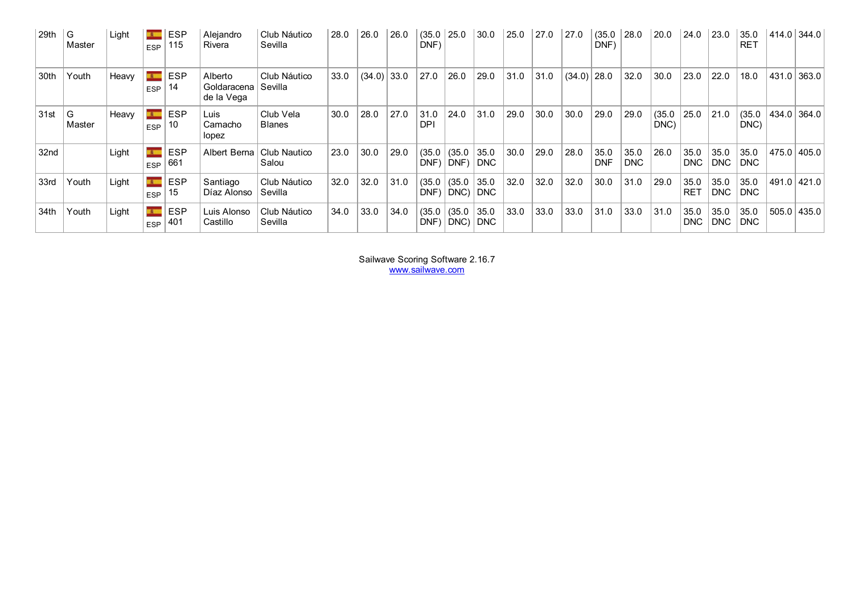| 29th | G<br>Master | Light | <b>ESP</b>      | <b>ESP</b><br>115       | Alejandro<br>Rivera                  | Club Náutico<br>Sevilla    | 28.0 | 26.0          | 26.0 | (35.0<br>DNF)      | 25.0                    | 30.0               | 25.0 | 27.0 | 27.0          | (35.0)<br>DNF)     | 28.0               | 20.0           | 24.0                    | 23.0               | 35.0<br><b>RET</b> | 414.0 344.0   |  |
|------|-------------|-------|-----------------|-------------------------|--------------------------------------|----------------------------|------|---------------|------|--------------------|-------------------------|--------------------|------|------|---------------|--------------------|--------------------|----------------|-------------------------|--------------------|--------------------|---------------|--|
| 30th | Youth       | Heavy | <b>ESP</b>      | ESP<br>14               | Alberto<br>Goldaracena<br>de la Vega | Club Náutico<br>Sevilla    | 33.0 | $(34.0)$ 33.0 |      | 27.0               | 26.0                    | 29.0               | 31.0 | 31.0 | $(34.0)$ 28.0 |                    | 32.0               | 30.0           | 23.0                    | 22.0               | 18.0               | 431.0 363.0   |  |
| 31st | G<br>Master | Heavy | <b>ESP</b>      | ESP<br>10               | Luis<br>Camacho<br>lopez             | Club Vela<br><b>Blanes</b> | 30.0 | 28.0          | 27.0 | 31.0<br><b>DPI</b> | 24.0                    | 31.0               | 29.0 | 30.0 | 30.0          | 29.0               | 29.0               | (35.0)<br>DNC) | 25.0                    | 21.0               | (35.0)<br>DNC)     | 434.0 364.0   |  |
| 32nd |             | Light |                 | <b>ESP</b><br>$ESP$ 661 | Albert Berna                         | Club Nautico<br>Salou      | 23.0 | 30.0          | 29.0 | (35.0)<br>DNF)     | (35.0)<br>DNF)          | 35.0<br><b>DNC</b> | 30.0 | 29.0 | 28.0          | 35.0<br><b>DNF</b> | 35.0<br><b>DNC</b> | 26.0           | 35.0<br><b>DNC</b>      | 35.0<br><b>DNC</b> | 35.0<br><b>DNC</b> | 475.0 405.0   |  |
| 33rd | Youth       | Light | Ŧ<br><b>ESP</b> | ESP<br>15               | Santiago<br>Díaz Alonso              | Club Náutico<br>Sevilla    | 32.0 | 32.0          | 31.0 | (35.0)<br>DNF)     | (35.0)<br>$DNC$ ) $DNC$ | 35.0               | 32.0 | 32.0 | 32.0          | 30.0               | 31.0               | 29.0           | 35.0<br>RE <sup>-</sup> | 35.0<br>DNC        | 35.0<br><b>DNC</b> | 491.0 421.0   |  |
| 34th | Youth       | Light | <b>ESP</b>      | <b>ESP</b><br>401       | Luis Alonso<br>Castillo              | Club Náutico<br>Sevilla    | 34.0 | 33.0          | 34.0 | (35.0)<br>DNF)     | (35.0)<br>$DNC$ DNC     | 35.0               | 33.0 | 33.0 | 33.0          | 31.0               | 33.0               | 31.0           | 35.0<br><b>DNC</b>      | 35.0<br><b>DNC</b> | 35.0<br><b>DNC</b> | $505.0$ 435.0 |  |

Sailwave Scoring Software 2.16.7 www.sailwave.com